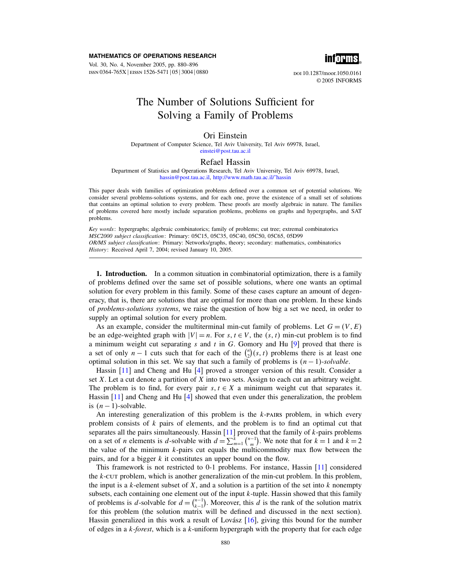#### MATHEMATICS OF OPERATIONS RESEARCH

Vol. 30, No. 4, November 2005, pp. 880–896 ISSN 0364-765X EISSN 1526-5471 | 05 | 3004 | 0880



doi 10.1287/moor.1050.0161 © 2005 INFORMS

# The Number of Solutions Sufficient for Solving a Family of Problems

## Ori Einstein

Department of Computer Science, Tel Aviv University, Tel Aviv 69978, Israel, [einstei@post.tau.ac.il](mailto:einstei@post.tau.ac.il)

### Refael Hassin

Department of Statistics and Operations Research, Tel Aviv University, Tel Aviv 69978, Israel, [hassin@post.tau.ac.il,](mailto:hassin@post.tau.ac.il) [http://www.math.tau.ac.il/˜hassin](http://www.math.tau.ac.il/~hassin)

This paper deals with families of optimization problems defined over a common set of potential solutions. We consider several problems-solutions systems, and for each one, prove the existence of a small set of solutions that contains an optimal solution to every problem. These proofs are mostly algebraic in nature. The families of problems covered here mostly include separation problems, problems on graphs and hypergraphs, and SAT problems.

Key words: hypergraphs; algebraic combinatorics; family of problems; cut tree; extremal combinatorics MSC2000 subject classification: Primary: 05C15, 05C35, 05C40, 05C50, 05C65, 05D99 OR/MS subject classification: Primary: Networks/graphs, theory; secondary: mathematics, combinatorics History: Received April 7, 2004; revised January 10, 2005.

**1. Introduction.** In a common situation in combinatorial optimization, there is a family of problems defined over the same set of possible solutions, where one wants an optimal solution for every problem in this family. Some of these cases capture an amount of degeneracy, that is, there are solutions that are optimal for more than one problem. In these kinds of problems-solutions systems, we raise the question of how big a set we need, in order to supply an optimal solution for every problem.

As an example, consider the multiterminal min-cut family of problems. Let  $G = (V, E)$ be an edge-weighted graph with  $|V| = n$ . For  $s, t \in V$ , the  $(s, t)$  min-cut problem is to find a minimum weight cut separating s and t in G. Gomory and Hu  $[9]$  proved that there is a set of only  $n-1$  cuts such that for each of the  $\binom{n}{2}(s, t)$  problems there is at least one optimal solution in this set. We say that such a family of problems is  $(n - 1)$ -solvable.

Hassin [\[11\]](#page-16-0) and Cheng and Hu [\[4\]](#page-16-0) proved a stronger version of this result. Consider a set X. Let a cut denote a partition of X into two sets. Assign to each cut an arbitrary weight. The problem is to find, for every pair  $s, t \in X$  a minimum weight cut that separates it. Hassin [\[11\]](#page-16-0) and Cheng and Hu [\[4\]](#page-16-0) showed that even under this generalization, the problem is  $(n-1)$ -solvable.

An interesting generalization of this problem is the  $k$ -pairs problem, in which every problem consists of  $k$  pairs of elements, and the problem is to find an optimal cut that separates all the pairs simultaneously. Hassin  $[11]$  proved that the family of  $k$ -pairs problems on a set of *n* elements is *d*-solvable with  $d = \sum_{m=1}^{k} {n-1 \choose m}$ . We note that for  $k = 1$  and  $k = 2$ the value of the minimum  $k$ -pairs cut equals the multicommodity max flow between the pairs, and for a bigger k it constitutes an upper bound on the flow.

This framework is not restricted to 0-1 problems. For instance, Hassin [\[11\]](#page-16-0) considered the k-cut problem, which is another generalization of the min-cut problem. In this problem, the input is a k-element subset of  $X$ , and a solution is a partition of the set into  $k$  nonempty subsets, each containing one element out of the input  $k$ -tuple. Hassin showed that this family of problems is d-solvable for  $d = \binom{n-1}{k-1}$ . Moreover, this d is the rank of the solution matrix for this problem (the solution matrix will be defined and discussed in the next section). Hassin generalized in this work a result of Lovász [\[16\]](#page-16-0), giving this bound for the number of edges in a  $k$ -forest, which is a  $k$ -uniform hypergraph with the property that for each edge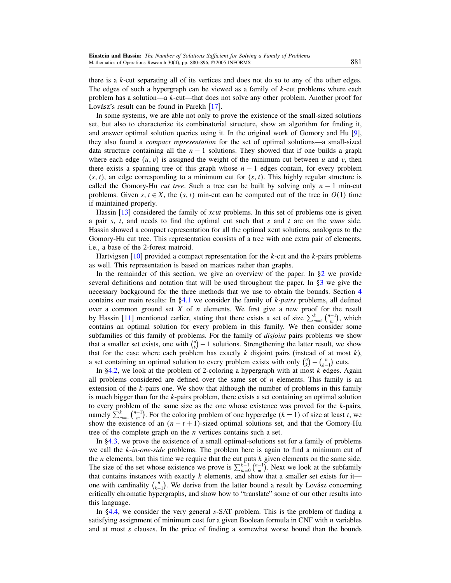there is a  $k$ -cut separating all of its vertices and does not do so to any of the other edges. The edges of such a hypergraph can be viewed as a family of  $k$ -cut problems where each problem has a solution—a k-cut—that does not solve any other problem. Another proof for Lovász's result can be found in Parekh [\[17\]](#page-16-0).

In some systems, we are able not only to prove the existence of the small-sized solutions set, but also to characterize its combinatorial structure, show an algorithm for finding it, and answer optimal solution queries using it. In the original work of Gomory and Hu [\[9\]](#page-16-0), they also found a compact representation for the set of optimal solutions—a small-sized data structure containing all the  $n - 1$  solutions. They showed that if one builds a graph where each edge  $(u, v)$  is assigned the weight of the minimum cut between u and v, then there exists a spanning tree of this graph whose  $n - 1$  edges contain, for every problem  $(s, t)$ , an edge corresponding to a minimum cut for  $(s, t)$ . This highly regular structure is called the Gomory-Hu *cut tree*. Such a tree can be built by solving only  $n - 1$  min-cut problems. Given  $s, t \in X$ , the  $(s, t)$  min-cut can be computed out of the tree in  $O(1)$  time if maintained properly.

Hassin [\[13\]](#page-16-0) considered the family of *xcut* problems. In this set of problems one is given a pair s, t, and needs to find the optimal cut such that s and t are on the same side. Hassin showed a compact representation for all the optimal xcut solutions, analogous to the Gomory-Hu cut tree. This representation consists of a tree with one extra pair of elements, i.e., a base of the 2-forest matroid.

Hartvigsen  $[10]$  provided a compact representation for the k-cut and the k-pairs problems as well. This representation is based on matrices rather than graphs.

In the remainder of this section, we give an overview of the paper. In  $\S2$  we provide several definitions and notation that will be used throughout the paper. In [§3](#page-2-0) we give the necessary background for the three methods that we use to obtain the bounds. Section [4](#page-5-0) contains our main results: In  $\S 4.1$  we consider the family of k-*pairs* problems, all defined over a common ground set  $X$  of  $n$  elements. We first give a new proof for the result by Hassin [\[11\]](#page-16-0) mentioned earlier, stating that there exists a set of size  $\sum_{m=1}^{k} {n-1 \choose m}$ , which contains an optimal solution for every problem in this family. We then consider some subfamilies of this family of problems. For the family of *disjoint* pairs problems we show that a smaller set exists, one with  $\binom{n}{k} - 1$  solutions. Strengthening the latter result, we show that for the case where each problem has exactly  $k$  disjoint pairs (instead of at most  $k$ ), a set containing an optimal solution to every problem exists with only  $\binom{n}{k} - \binom{n}{k-1}$  cuts.

In  $\S 4.2$ , we look at the problem of 2-coloring a hypergraph with at most k edges. Again all problems considered are defined over the same set of  $n$  elements. This family is an extension of the  $k$ -pairs one. We show that although the number of problems in this family is much bigger than for the  $k$ -pairs problem, there exists a set containing an optimal solution to every problem of the same size as the one whose existence was proved for the k-pairs, namely  $\sum_{m=1}^{k} {n-1 \choose m}$ . For the coloring problem of one hyperedge  $(k = 1)$  of size at least t, we show the existence of an  $(n - t + 1)$ -sized optimal solutions set, and that the Gomory-Hu tree of the complete graph on the  $n$  vertices contains such a set.

In [§4.3,](#page-9-0) we prove the existence of a small optimal-solutions set for a family of problems we call the  $k$ -in-one-side problems. The problem here is again to find a minimum cut of the  $n$  elements, but this time we require that the cut puts  $k$  given elements on the same side. The size of the set whose existence we prove is  $\sum_{m=0}^{k-1} \binom{n-1}{m}$ . Next we look at the subfamily that contains instances with exactly  $k$  elements, and show that a smaller set exists for it one with cardinality  $\binom{n}{k-1}$ . We derive from the latter bound a result by Lovász concerning critically chromatic hypergraphs, and show how to "translate" some of our other results into this language.

In [§4.4,](#page-12-0) we consider the very general s-SAT problem. This is the problem of finding a satisfying assignment of minimum cost for a given Boolean formula in CNF with  $n$  variables and at most  $s$  clauses. In the price of finding a somewhat worse bound than the bounds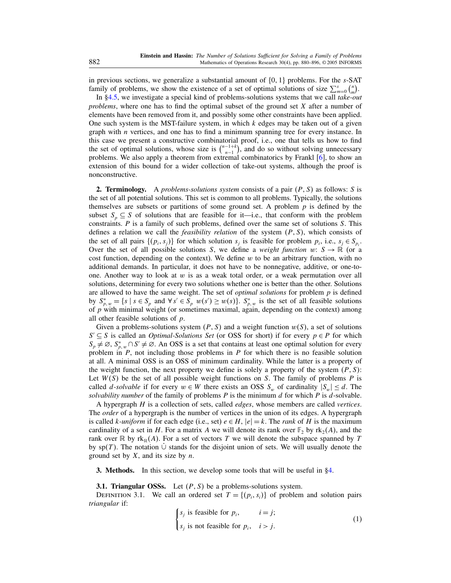<span id="page-2-0"></span>in previous sections, we generalize a substantial amount of  $\{0, 1\}$  problems. For the s-SAT family of problems, we show the existence of a set of optimal solutions of size  $\sum_{m=0}^{s} {n \choose m}$ .

In [§4.5,](#page-13-0) we investigate a special kind of problems-solutions systems that we call take-out problems, where one has to find the optimal subset of the ground set X after a number of elements have been removed from it, and possibly some other constraints have been applied. One such system is the MST-failure system, in which  $k$  edges may be taken out of a given graph with  $n$  vertices, and one has to find a minimum spanning tree for every instance. In this case we present a constructive combinatorial proof, i.e., one that tells us how to find the set of optimal solutions, whose size is  $\binom{n-1+k}{n-1}$ , and do so without solving unnecessary problems. We also apply a theorem from extremal combinatorics by Frankl [\[6\]](#page-16-0), to show an extension of this bound for a wider collection of take-out systems, although the proof is nonconstructive.

**2. Terminology.** A problems-solutions system consists of a pair  $(P, S)$  as follows: S is the set of all potential solutions. This set is common to all problems. Typically, the solutions themselves are subsets or partitions of some ground set. A problem  $p$  is defined by the subset  $S_n \subseteq S$  of solutions that are feasible for it—i.e., that conform with the problem constraints. P is a family of such problems, defined over the same set of solutions S. This defines a relation we call the *feasibility relation* of the system  $(P, S)$ , which consists of the set of all pairs  $\{(p_i, s_j)\}\$ for which solution  $s_j$  is feasible for problem  $p_i$ , i.e.,  $s_j \in S_{p_i}$ . Over the set of all possible solutions S, we define a *weight function* w:  $S \rightarrow \mathbb{R}$  (or a cost function, depending on the context). We define  $w$  to be an arbitrary function, with no additional demands. In particular, it does not have to be nonnegative, additive, or one-toone. Another way to look at  $w$  is as a weak total order, or a weak permutation over all solutions, determining for every two solutions whether one is better than the other. Solutions are allowed to have the same weight. The set of *optimal solutions* for problem  $p$  is defined by  $S_{p,w}^* = \{s \mid s \in S_p \text{ and } \forall s' \in S_p \ w(s') \geq w(s)\}\$ .  $S_{p,w}^*$  is the set of all feasible solutions of  $p$  with minimal weight (or sometimes maximal, again, depending on the context) among all other feasible solutions of  $p$ .

Given a problems-solutions system  $(P, S)$  and a weight function  $w(S)$ , a set of solutions  $S' \subseteq S$  is called an *Optimal-Solutions Set* (or OSS for short) if for every  $p \in P$  for which  $S_p \neq \emptyset$ ,  $S_{p,w}^* \cap S' \neq \emptyset$ . An OSS is a set that contains at least one optimal solution for every problem in  $P$ , not including those problems in  $P$  for which there is no feasible solution at all. A minimal OSS is an OSS of minimum cardinality. While the latter is a property of the weight function, the next property we define is solely a property of the system  $(P, S)$ : Let  $W(S)$  be the set of all possible weight functions on S. The family of problems P is called d-solvable if for every  $w \in W$  there exists an OSS  $S_w$  of cardinality  $|S_w| \leq d$ . The solvability number of the family of problems  $P$  is the minimum  $d$  for which  $P$  is  $d$ -solvable.

A hypergraph  $H$  is a collection of sets, called *edges*, whose members are called *vertices*. The *order* of a hypergraph is the number of vertices in the union of its edges. A hypergraph is called k-uniform if for each edge (i.e., set)  $e \in H$ ,  $|e| = k$ . The *rank* of H is the maximum cardinality of a set in H. For a matrix A we will denote its rank over  $\mathbb{F}_2$  by  $\text{rk}_2(A)$ , and the rank over  $\mathbb R$  by  $rk_{\mathbb R}(A)$ . For a set of vectors T we will denote the subspace spanned by T by sp $(T)$ . The notation  $\cup$  stands for the disjoint union of sets. We will usually denote the ground set by  $X$ , and its size by  $n$ .

3. Methods. In this section, we develop some tools that will be useful in [§4.](#page-5-0)

**3.1. Triangular OSSs.** Let  $(P, S)$  be a problems-solutions system.

DEFINITION 3.1. We call an ordered set  $T = \{(p_i, s_i)\}\$  of problem and solution pairs triangular if:

$$
\begin{cases}\ns_j \text{ is feasible for } p_i, & i = j; \\
s_j \text{ is not feasible for } p_i, & i > j.\n\end{cases}\n\tag{1}
$$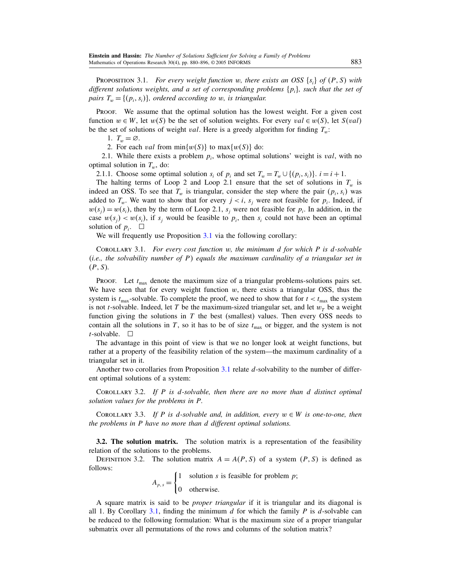<span id="page-3-0"></span>**PROPOSITION 3.1.** For every weight function w, there exists an OSS  $\{s_i\}$  of  $(P, S)$  with different solutions weights, and a set of corresponding problems  $\{p_i\}$ , such that the set of pairs  $T_w = \{(p_i, s_i)\}\$ , ordered according to w, is triangular.

PROOF. We assume that the optimal solution has the lowest weight. For a given cost function  $w \in W$ , let  $w(S)$  be the set of solution weights. For every  $val \in w(S)$ , let  $S(val)$ be the set of solutions of weight *val*. Here is a greedy algorithm for finding  $T_w$ :

1.  $T_w = \emptyset$ .

2. For each *val* from  $\min\{w(S)\}\$  to  $\max\{w(S)\}\$  do:

2.1. While there exists a problem  $p_i$ , whose optimal solutions' weight is *val*, with no optimal solution in  $T_w$ , do:

2.1.1. Choose some optimal solution  $s_i$  of  $p_i$  and set  $T_w = T_w \cup \{(p_i, s_i)\}\)$ .  $i = i + 1$ .

The halting terms of Loop 2 and Loop 2.1 ensure that the set of solutions in  $T_w$  is indeed an OSS. To see that  $T_w$  is triangular, consider the step where the pair  $(p_i, s_i)$  was added to  $T_w$ . We want to show that for every  $j < i$ ,  $s_j$  were not feasible for  $p_i$ . Indeed, if  $w(s_j) = w(s_i)$ , then by the term of Loop 2.1,  $s_j$  were not feasible for  $p_i$ . In addition, in the case  $w(s_j) < w(s_i)$ , if  $s_j$  would be feasible to  $p_i$ , then  $s_i$  could not have been an optimal solution of  $p_i$ .  $\Box$ 

We will frequently use Proposition [3.1](#page-2-0) via the following corollary:

COROLLARY 3.1. For every cost function  $w$ , the minimum  $d$  for which  $P$  is  $d$ -solvable (i.e., the solvability number of P) equals the maximum cardinality of a triangular set in  $(P, S)$ .

**PROOF.** Let  $t_{\text{max}}$  denote the maximum size of a triangular problems-solutions pairs set. We have seen that for every weight function  $w$ , there exists a triangular OSS, thus the system is  $t_{\text{max}}$ -solvable. To complete the proof, we need to show that for  $t < t_{\text{max}}$  the system is not *t*-solvable. Indeed, let T be the maximum-sized triangular set, and let  $w_T$  be a weight function giving the solutions in  $T$  the best (smallest) values. Then every OSS needs to contain all the solutions in T, so it has to be of size  $t_{\text{max}}$  or bigger, and the system is not  $t$ -solvable.  $\square$ 

The advantage in this point of view is that we no longer look at weight functions, but rather at a property of the feasibility relation of the system—the maximum cardinality of a triangular set in it.

Another two corollaries from Proposition [3.1](#page-2-0) relate d-solvability to the number of different optimal solutions of a system:

COROLLARY 3.2. If  $P$  is d-solvable, then there are no more than  $d$  distinct optimal solution values for the problems in P.

COROLLARY 3.3. If P is d-solvable and, in addition, every  $w \in W$  is one-to-one, then the problems in P have no more than d different optimal solutions.

3.2. The solution matrix. The solution matrix is a representation of the feasibility relation of the solutions to the problems.

DEFINITION 3.2. The solution matrix  $A = A(P, S)$  of a system  $(P, S)$  is defined as follows:

 $A_{p,s} =$  $\begin{cases} 1 \quad \text{solution } s \text{ is feasible for problem } p; \end{cases}$ 0 otherwise.

A square matrix is said to be proper triangular if it is triangular and its diagonal is all 1. By Corollary 3.1, finding the minimum  $d$  for which the family  $P$  is  $d$ -solvable can be reduced to the following formulation: What is the maximum size of a proper triangular submatrix over all permutations of the rows and columns of the solution matrix?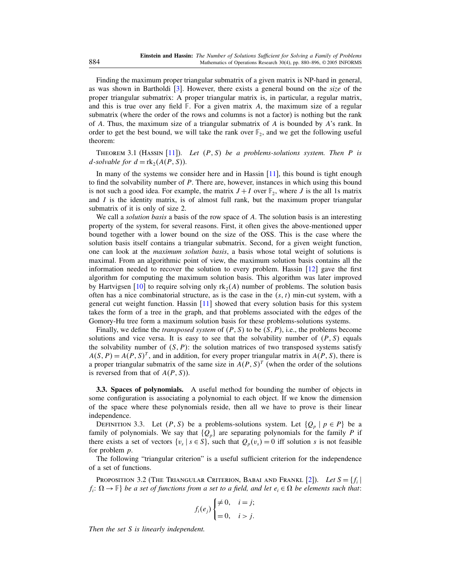<span id="page-4-0"></span>Finding the maximum proper triangular submatrix of a given matrix is NP-hard in general, as was shown in Bartholdi  $[3]$ . However, there exists a general bound on the *size* of the proper triangular submatrix: A proper triangular matrix is, in particular, a regular matrix, and this is true over any field  $F$ . For a given matrix A, the maximum size of a regular submatrix (where the order of the rows and columns is not a factor) is nothing but the rank of A. Thus, the maximum size of a triangular submatrix of A is bounded by  $A$ 's rank. In order to get the best bound, we will take the rank over  $\mathbb{F}_2$ , and we get the following useful theorem:

THEOREM 3.1 (HASSIN [\[11\]](#page-16-0)). Let  $(P, S)$  be a problems-solutions system. Then P is *d*-solvable for  $d = \text{rk}_2(A(P, S))$ .

In many of the systems we consider here and in Hassin  $[11]$ , this bound is tight enough to find the solvability number of P. There are, however, instances in which using this bound is not such a good idea. For example, the matrix  $J + I$  over  $\mathbb{F}_2$ , where J is the all 1s matrix and  $I$  is the identity matrix, is of almost full rank, but the maximum proper triangular submatrix of it is only of size 2.

We call a *solution basis* a basis of the row space of A. The solution basis is an interesting property of the system, for several reasons. First, it often gives the above-mentioned upper bound together with a lower bound on the size of the OSS. This is the case where the solution basis itself contains a triangular submatrix. Second, for a given weight function, one can look at the maximum solution basis, a basis whose total weight of solutions is maximal. From an algorithmic point of view, the maximum solution basis contains all the information needed to recover the solution to every problem. Hassin [\[12\]](#page-16-0) gave the first algorithm for computing the maximum solution basis. This algorithm was later improved by Hartvigsen [\[10\]](#page-16-0) to require solving only  $rk_2(A)$  number of problems. The solution basis often has a nice combinatorial structure, as is the case in the  $(s, t)$  min-cut system, with a general cut weight function. Hassin [\[11\]](#page-16-0) showed that every solution basis for this system takes the form of a tree in the graph, and that problems associated with the edges of the Gomory-Hu tree form a maximum solution basis for these problems-solutions systems.

Finally, we define the *transposed system* of  $(P, S)$  to be  $(S, P)$ , i.e., the problems become solutions and vice versa. It is easy to see that the solvability number of  $(P, S)$  equals the solvability number of  $(S, P)$ : the solution matrices of two transposed systems satisfy  $A(S, P) = A(P, S)^{T}$ , and in addition, for every proper triangular matrix in  $A(P, S)$ , there is a proper triangular submatrix of the same size in  $A(P, S)^T$  (when the order of the solutions is reversed from that of  $A(P, S)$ ).

3.3. Spaces of polynomials. A useful method for bounding the number of objects in some configuration is associating a polynomial to each object. If we know the dimension of the space where these polynomials reside, then all we have to prove is their linear independence.

DEFINITION 3.3. Let  $(P, S)$  be a problems-solutions system. Let  $\{Q_p \mid p \in P\}$  be a family of polynomials. We say that  ${Q_p}$  are separating polynomials for the family P if there exists a set of vectors  $\{v_s \mid s \in S\}$ , such that  $Q_p(v_s) = 0$  iff solution s is not feasible for problem p.

The following "triangular criterion" is a useful sufficient criterion for the independence of a set of functions.

Proposition 3.2 (The Triangular Criterion, Babai and Frankl [\[2\]](#page-16-0)). Let  $S = \{f_i |$  $f_i: \Omega \to \mathbb{F}$  be a set of functions from a set to a field, and let  $e_i \in \Omega$  be elements such that:

$$
f_i(e_j) \begin{cases} \neq 0, & i = j; \\ = 0, & i > j. \end{cases}
$$

Then the set S is linearly independent.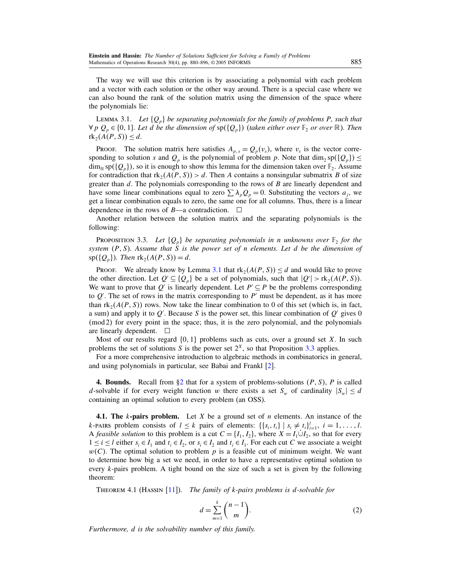<span id="page-5-0"></span>The way we will use this criterion is by associating a polynomial with each problem and a vector with each solution or the other way around. There is a special case where we can also bound the rank of the solution matrix using the dimension of the space where the polynomials lie:

LEMMA 3.1. Let  $\{Q_n\}$  be separating polynomials for the family of problems P, such that  $\forall p \ Q_p \in \{0,1\}$ . Let d be the dimension of  $\text{sp}(\{Q_p\})$  (taken either over  $\mathbb{F}_2$  or over  $\mathbb{R}$ ). Then  $\text{rk}_2(A(P, S)) \leq d.$ 

PROOF. The solution matrix here satisfies  $A_{p,s} = Q_p(v_s)$ , where  $v_s$  is the vector corresponding to solution s and  $Q_p$  is the polynomial of problem p. Note that  $\dim_2 sp(\lbrace Q_p \rbrace) \leq$  $\dim_{\mathbb{R}} sp(\{Q_p\})$ , so it is enough to show this lemma for the dimension taken over  $\mathbb{F}_2$ . Assume for contradiction that  $\text{rk}_2(A(P, S)) > d$ . Then A contains a nonsingular submatrix B of size greater than  $d$ . The polynomials corresponding to the rows of  $B$  are linearly dependent and have some linear combinations equal to zero  $\sum \lambda_p Q_p = 0$ . Substituting the vectors  $a_i$ , we get a linear combination equals to zero, the same one for all columns. Thus, there is a linear dependence in the rows of  $B$ —a contradiction.  $\Box$ 

Another relation between the solution matrix and the separating polynomials is the following:

**PROPOSITION** 3.3. Let  $\{Q_p\}$  be separating polynomials in n unknowns over  $\mathbb{F}_2$  for the system  $(P, S)$ . Assume that S is the power set of n elements. Let d be the dimension of  $sp({Q_p})$ . Then  $rk_2(A(P, S)) = d$ .

PROOF. We already know by Lemma 3.1 that  $rk_2(A(P, S)) \le d$  and would like to prove the other direction. Let  $Q' \subseteq \{Q_p\}$  be a set of polynomials, such that  $|Q'| > \text{rk}_2(A(P, S))$ . We want to prove that Q' is linearly dependent. Let  $P' \subseteq P$  be the problems corresponding to  $Q'$ . The set of rows in the matrix corresponding to  $P'$  must be dependent, as it has more than  $rk_2(A(P, S))$  rows. Now take the linear combination to 0 of this set (which is, in fact, a sum) and apply it to  $Q'$ . Because S is the power set, this linear combination of  $Q'$  gives 0 (mod 2) for every point in the space; thus, it is the zero polynomial, and the polynomials are linearly dependent.  $\square$ 

Most of our results regard  $\{0, 1\}$  problems such as cuts, over a ground set X. In such problems the set of solutions S is the power set  $2^X$ , so that Proposition 3.3 applies.

For a more comprehensive introduction to algebraic methods in combinatorics in general, and using polynomials in particular, see Babai and Frankl [\[2\]](#page-16-0).

**4. Bounds.** Recall from  $\S2$  that for a system of problems-solutions  $(P, S)$ , P is called d-solvable if for every weight function w there exists a set  $S_w$  of cardinality  $|S_w| \leq d$ containing an optimal solution to every problem (an OSS).

**4.1.** The k-pairs problem. Let X be a ground set of n elements. An instance of the k-pairs problem consists of  $l \leq k$  pairs of elements:  $\{\{s_i, t_i\} \mid s_i \neq t_i\}_{i=1}^l$ ,  $i = 1, \ldots, l$ . A feasible solution to this problem is a cut  $C = \{I_1, I_2\}$ , where  $X = I_1 \dot{\cup} I_2$ , so that for every  $1 \le i \le l$  either  $s_i \in I_1$  and  $t_i \in I_2$ , or  $s_i \in I_2$  and  $t_i \in I_1$ . For each cut C we associate a weight  $w(C)$ . The optimal solution to problem p is a feasible cut of minimum weight. We want to determine how big a set we need, in order to have a representative optimal solution to every k-pairs problem. A tight bound on the size of such a set is given by the following theorem:

THEOREM 4.1 (HASSIN  $[11]$ ). The family of k-pairs problems is d-solvable for

$$
d = \sum_{m=1}^{k} \binom{n-1}{m}.
$$
 (2)

Furthermore, d is the solvability number of this family.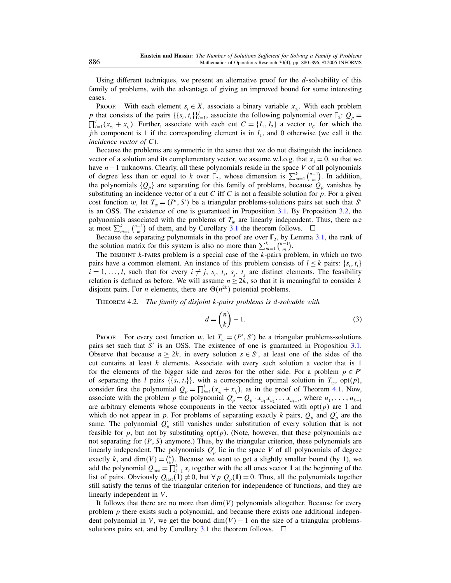<span id="page-6-0"></span>Using different techniques, we present an alternative proof for the  $d$ -solvability of this family of problems, with the advantage of giving an improved bound for some interesting cases.

PROOF. With each element  $s_i \in X$ , associate a binary variable  $x_{s_i}$ . With each problem p that consists of the pairs  $\{\{s_i, t_i\}\}_{i=1}^l$ , associate the following polynomial over  $\mathbb{F}_2$ :  $Q_p =$  $\prod_{i=1}^{l} (x_{s_i} + x_{t_i})$ . Further, associate with each cut  $C = \{I_1, I_2\}$  a vector  $v_C$  for which the jth component is 1 if the corresponding element is in  $I_1$ , and 0 otherwise (we call it the incidence vector of  $C$ ).

Because the problems are symmetric in the sense that we do not distinguish the incidence vector of a solution and its complementary vector, we assume w.l.o.g. that  $x_1 = 0$ , so that we have n−1 unknowns. Clearly, all these polynomials reside in the space V of all polynomials of degree less than or equal to k over  $\mathbb{F}_2$ , whose dimension is  $\sum_{m=1}^{k} {n-1 \choose m}$ . In addition, the polynomials  $\{Q_p\}$  are separating for this family of problems, because  $Q_p$  vanishes by substituting an incidence vector of a cut C iff C is not a feasible solution for  $p$ . For a given cost function w, let  $T_w = (P', S')$  be a triangular problems-solutions pairs set such that S' is an OSS. The existence of one is guaranteed in Proposition [3.1.](#page-2-0) By Proposition [3.2,](#page-4-0) the polynomials associated with the problems of  $T_w$  are linearly independent. Thus, there are at most  $\sum_{m=1}^{k} {n-1 \choose m}$  of them, and by Corollary [3.1](#page-3-0) the theorem follows.  $\square$ 

Because the separating polynomials in the proof are over  $\mathbb{F}_2$ , by Lemma [3.1,](#page-5-0) the rank of the solution matrix for this system is also no more than  $\sum_{m=1}^{k} {n-1 \choose m}$ .

The DISJOINT  $k$ -PAIRS problem is a special case of the  $k$ -pairs problem, in which no two pairs have a common element. An instance of this problem consists of  $l \leq k$  pairs:  $\{s_i, t_i\}$  $i = 1, \ldots, l$ , such that for every  $i \neq j$ ,  $s_i$ ,  $t_i$ ,  $s_j$ ,  $t_j$  are distinct elements. The feasibility relation is defined as before. We will assume  $n \ge 2k$ , so that it is meaningful to consider k disjoint pairs. For *n* elements, there are  $\Theta(n^{2k})$  potential problems.

THEOREM 4.2. The family of disjoint k-pairs problems is d-solvable with

$$
d = \binom{n}{k} - 1.
$$
 (3)

PROOF. For every cost function w, let  $T_w = (P', S')$  be a triangular problems-solutions pairs set such that S' is an OSS. The existence of one is guaranteed in Proposition [3.1.](#page-2-0) Observe that because  $n \geq 2k$ , in every solution  $s \in S'$ , at least one of the sides of the cut contains at least  $k$  elements. Associate with every such solution a vector that is 1 for the elements of the bigger side and zeros for the other side. For a problem  $p \in P'$ of separating the l pairs  $\{\{s_i, t_i\}\}\$ , with a corresponding optimal solution in  $T_w$ , opt $(p)$ , consider first the polynomial  $Q_p = \prod_{i=1}^{l} (x_{s_i} + x_{t_i})$ , as in the proof of Theorem [4.1.](#page-5-0) Now, associate with the problem p the polynomial  $Q'_p = Q_p \cdot x_{u_1} x_{u_2} \dots x_{u_{k-1}}$ , where  $u_1, \dots, u_{k-l}$ are arbitrary elements whose components in the vector associated with  $opt(p)$  are 1 and which do not appear in p. For problems of separating exactly k pairs,  $Q_p$  and  $Q'_p$  are the same. The polynomial  $Q_p'$  still vanishes under substitution of every solution that is not feasible for p, but not by substituting opt $(p)$ . (Note, however, that these polynomials are not separating for  $(P, S)$  anymore.) Thus, by the triangular criterion, these polynomials are linearly independent. The polynomials  $Q_p$  lie in the space V of all polynomials of degree exactly k, and dim $(V) = \binom{n}{k}$ . Because we want to get a slightly smaller bound (by 1), we add the polynomial  $Q_{\text{last}} = \prod_{i=1}^{k} x_i$  together with the all ones vector 1 at the beginning of the list of pairs. Obviously  $Q_{\text{last}}(1) \neq 0$ , but  $\forall p \ Q_p(1) = 0$ . Thus, all the polynomials together still satisfy the terms of the triangular criterion for independence of functions, and they are linearly independent in V.

It follows that there are no more than  $dim(V)$  polynomials altogether. Because for every problem  $p$  there exists such a polynomial, and because there exists one additional independent polynomial in V, we get the bound  $\dim(V) - 1$  on the size of a triangular problems-solutions pairs set, and by Corollary [3.1](#page-3-0) the theorem follows.  $\Box$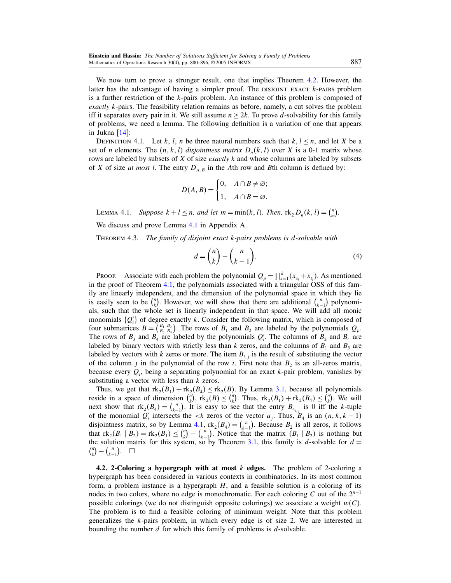<span id="page-7-0"></span>We now turn to prove a stronger result, one that implies Theorem [4.2.](#page-6-0) However, the latter has the advantage of having a simpler proof. The DISJOINT EXACT  $k$ -pairs problem is a further restriction of the k-pairs problem. An instance of this problem is composed of *exactly k*-pairs. The feasibility relation remains as before, namely, a cut solves the problem iff it separates every pair in it. We still assume  $n \geq 2k$ . To prove d-solvability for this family of problems, we need a lemma. The following definition is a variation of one that appears in Jukna  $[14]$ :

DEFINITION 4.1. Let k, l, n be three natural numbers such that  $k, l \le n$ , and let X be a set of *n* elements. The  $(n, k, l)$  disjointness matrix  $D_n(k, l)$  over X is a 0-1 matrix whose rows are labeled by subsets of  $X$  of size *exactly*  $k$  and whose columns are labeled by subsets of X of size at most l. The entry  $D_{A,B}$  in the Ath row and Bth column is defined by:

$$
D(A, B) = \begin{cases} 0, & A \cap B \neq \varnothing; \\ 1, & A \cap B = \varnothing. \end{cases}
$$

LEMMA 4.1. Suppose  $k + l \le n$ , and let  $m = \min(k, l)$ . Then,  $\text{rk}_2 D_n(k, l) = {n \choose m}$ .

We discuss and prove Lemma 4.1 in Appendix A.

THEOREM 4.3. The family of disjoint exact k-pairs problems is d-solvable with

$$
d = \binom{n}{k} - \binom{n}{k-1}.
$$
\n<sup>(4)</sup>

PROOF. Associate with each problem the polynomial  $Q_p = \prod_{i=1}^{k} (x_{s_i} + x_{t_i})$ . As mentioned in the proof of Theorem [4.1,](#page-5-0) the polynomials associated with a triangular OSS of this family are linearly independent, and the dimension of the polynomial space in which they lie is easily seen to be  $\binom{n}{k}$ . However, we will show that there are additional  $\binom{n}{k-1}$  polynomials, such that the whole set is linearly independent in that space. We will add all monic monomials  $\{Q_i\}$  of degree exactly k. Consider the following matrix, which is composed of four submatrices  $B = \begin{pmatrix} B_1 & B_2 \ B_3 & B_4 \end{pmatrix}$ . The rows of  $B_1$  and  $B_2$  are labeled by the polynomials  $Q_p$ . The rows of  $B_3$  and  $B_4$  are labeled by the polynomials  $Q'_i$ . The columns of  $B_2$  and  $B_4$  are labeled by binary vectors with strictly less than k zeros, and the columns of  $B_1$  and  $B_3$  are labeled by vectors with k zeros or more. The item  $B_{i,j}$  is the result of substituting the vector of the column j in the polynomial of the row i. First note that  $B_2$  is an all-zeros matrix, because every  $Q_i$ , being a separating polynomial for an exact k-pair problem, vanishes by substituting a vector with less than  $k$  zeros.

Thus, we get that  $rk_2(B_1) + rk_2(B_4) \leq rk_2(B)$ . By Lemma [3.1,](#page-5-0) because all polynomials reside in a space of dimension  $\binom{n}{k}$ ,  $rk_2(B) \leq \binom{n}{k}$ . Thus,  $rk_2(B_1) + rk_2(B_4) \leq \binom{n}{k}$ . We will next show that  $\text{rk}_2(B_4) = {n \choose k-1}$ . It is easy to see that the entry  $B_{4_{i,j}}$  is 0 iff the k-tuple of the monomial  $Q'_i$  intersects the <k zeros of the vector  $a_j$ . Thus,  $B_4$  is an  $(n, k, k - 1)$ disjointness matrix, so by Lemma 4.1,  $\text{rk}_2(B_4) = {n \choose k-1}$ . Because  $B_2$  is all zeros, it follows that  $\text{rk}_2(B_1 | B_2) = \text{rk}_2(B_1) \leq {n \choose k} - {n \choose k-1}$ . Notice that the matrix  $(B_1 | B_2)$  is nothing but  $\binom{n}{k} - \binom{n}{k-1}$ .  $\Box$ the solution matrix for this system, so by Theorem [3.1,](#page-4-0) this family is d-solvable for  $d =$ 

4.2. 2-Coloring a hypergraph with at most  $k$  edges. The problem of 2-coloring a hypergraph has been considered in various contexts in combinatorics. In its most common form, a problem instance is a hypergraph  $H$ , and a feasible solution is a coloring of its nodes in two colors, where no edge is monochromatic. For each coloring C out of the  $2^{n-1}$ possible colorings (we do not distinguish opposite colorings) we associate a weight  $w(C)$ . The problem is to find a feasible coloring of minimum weight. Note that this problem generalizes the k-pairs problem, in which every edge is of size 2. We are interested in bounding the number  $d$  for which this family of problems is  $d$ -solvable.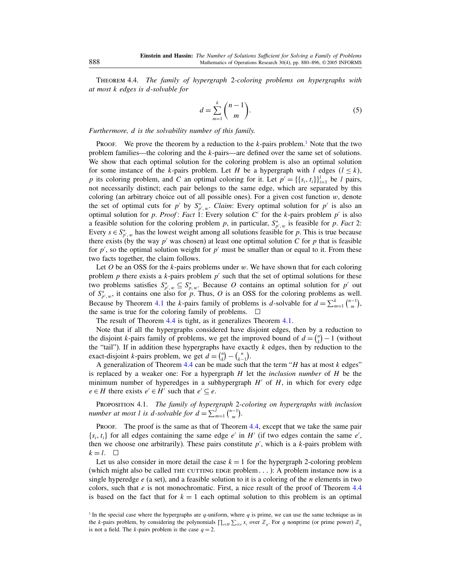Theorem 4.4. The family of hypergraph 2-coloring problems on hypergraphs with at most k edges is d-solvable for

$$
d = \sum_{m=1}^{k} {n-1 \choose m}.
$$
 (5)

Furthermore, d is the solvability number of this family.

**PROOF.** We prove the theorem by a reduction to the  $k$ -pairs problem.<sup>1</sup> Note that the two problem families—the coloring and the k-pairs—are defined over the same set of solutions. We show that each optimal solution for the coloring problem is also an optimal solution for some instance of the k-pairs problem. Let H be a hypergraph with l edges  $(l \le k)$ , p its coloring problem, and C an optimal coloring for it. Let  $p' = \{\{s_i, t_i\}\}_{i=1}^l$  be l pairs, not necessarily distinct; each pair belongs to the same edge, which are separated by this coloring (an arbitrary choice out of all possible ones). For a given cost function  $w$ , denote the set of optimal cuts for p' by  $S_{p',w}^*$ . Claim: Every optimal solution for p' is also an optimal solution for p. Proof: Fact 1: Every solution C' for the k-pairs problem  $p'$  is also a feasible solution for the coloring problem p, in particular,  $S_{p',w}^*$  is feasible for p. Fact 2: Every  $s \in S_{p',w}^*$  has the lowest weight among all solutions feasible for p. This is true because there exists (by the way  $p'$  was chosen) at least one optimal solution  $C$  for  $p$  that is feasible for  $p'$ , so the optimal solution weight for  $p'$  must be smaller than or equal to it. From these two facts together, the claim follows.

Let  $O$  be an OSS for the k-pairs problems under w. We have shown that for each coloring problem p there exists a k-pairs problem  $p'$  such that the set of optimal solutions for these two problems satisfies  $S_{p',w}^* \subseteq S_{p,w}^*$ . Because O contains an optimal solution for  $p'$  out of  $S_{p',w}^*$ , it contains one also for p. Thus, O is an OSS for the coloring problems as well. Because by Theorem [4.1](#page-5-0) the k-pairs family of problems is d-solvable for  $d = \sum_{m=1}^{k} {n-1 \choose m}$ , the same is true for the coloring family of problems.  $\Box$ 

The result of Theorem [4.4](#page-7-0) is tight, as it generalizes Theorem [4.1.](#page-5-0)

Note that if all the hypergraphs considered have disjoint edges, then by a reduction to the disjoint k-pairs family of problems, we get the improved bound of  $d = \binom{n}{k} - 1$  (without the "tail"). If in addition these hypergraphs have exactly  $k$  edges, then by reduction to the exact-disjoint k-pairs problem, we get  $d = \binom{n}{k} - \binom{n}{k-1}$ .

A generalization of Theorem [4.4](#page-7-0) can be made such that the term  $H$  has at most k edges" is replaced by a weaker one: For a hypergraph  $H$  let the *inclusion number* of  $H$  be the minimum number of hyperedges in a subhypergraph  $H'$  of  $H$ , in which for every edge  $e \in H$  there exists  $e' \in H'$  such that  $e' \subseteq e$ .

PROPOSITION 4.1. The family of hypergraph 2-coloring on hypergraphs with inclusion number at most l is d-solvable for  $d = \sum_{m=1}^{l} {n-1 \choose m}$ .

PROOF. The proof is the same as that of Theorem [4.4,](#page-7-0) except that we take the same pair  $\{s_i, t_i\}$  for all edges containing the same edge e' in H' (if two edges contain the same e', then we choose one arbitrarily). These pairs constitute  $p'$ , which is a  $k$ -pairs problem with  $k = l$ .  $\Box$ 

Let us also consider in more detail the case  $k = 1$  for the hypergraph 2-coloring problem (which might also be called THE CUTTING EDGE problem,  $\ldots$ ): A problem instance now is a single hyperedge  $e$  (a set), and a feasible solution to it is a coloring of the *n* elements in two colors, such that  $e$  is not monochromatic. First, a nice result of the proof of Theorem [4.4](#page-7-0) is based on the fact that for  $k = 1$  each optimal solution to this problem is an optimal

<sup>&</sup>lt;sup>1</sup> In the special case where the hypergraphs are q-uniform, where q is prime, we can use the same technique as in the k-pairs problem, by considering the polynomials  $\prod_{e \in H} \sum_{i \in e} x_i$  over  $\mathbb{Z}_q$ . For q nonprime (or prime power)  $\mathbb{Z}_q$ is not a field. The *k*-pairs problem is the case  $q = 2$ .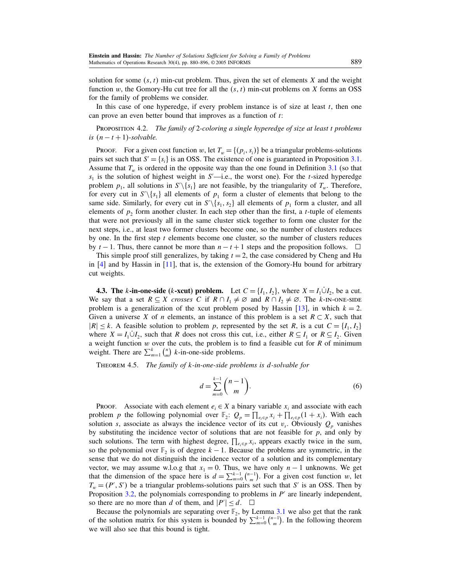<span id="page-9-0"></span>solution for some  $(s, t)$  min-cut problem. Thus, given the set of elements X and the weight function w, the Gomory-Hu cut tree for all the  $(s, t)$  min-cut problems on X forms an OSS for the family of problems we consider.

In this case of one hyperedge, if every problem instance is of size at least  $t$ , then one can prove an even better bound that improves as a function of t:

PROPOSITION 4.2. The family of 2-coloring a single hyperedge of size at least t problems is  $(n - t + 1)$ -solvable.

PROOF. For a given cost function w, let  $T_w = \{(p_i, s_i)\}\$  be a triangular problems-solutions pairs set such that  $S' = \{s_i\}$  is an OSS. The existence of one is guaranteed in Proposition [3.1.](#page-2-0) Assume that  $T_w$  is ordered in the opposite way than the one found in Definition [3.1](#page-2-0) (so that  $s_1$  is the solution of highest weight in S'—i.e., the worst one). For the t-sized hyperedge problem  $p_1$ , all solutions in  $S' \setminus \{s_1\}$  are not feasible, by the triangularity of  $T_w$ . Therefore, for every cut in  $S' \setminus \{s_1\}$  all elements of  $p_1$  form a cluster of elements that belong to the same side. Similarly, for every cut in  $S' \setminus \{s_1, s_2\}$  all elements of  $p_1$  form a cluster, and all elements of  $p_2$  form another cluster. In each step other than the first, a *t*-tuple of elements that were not previously all in the same cluster stick together to form one cluster for the next steps, i.e., at least two former clusters become one, so the number of clusters reduces by one. In the first step  $t$  elements become one cluster, so the number of clusters reduces by  $t - 1$ . Thus, there cannot be more than  $n - t + 1$  steps and the proposition follows.  $\Box$ 

This simple proof still generalizes, by taking  $t = 2$ , the case considered by Cheng and Hu in [\[4\]](#page-16-0) and by Hassin in [\[11\]](#page-16-0), that is, the extension of the Gomory-Hu bound for arbitrary cut weights.

**4.3. The k-in-one-side (k-xcut) problem.** Let  $C = \{I_1, I_2\}$ , where  $X = I_1 \dot{\cup} I_2$ , be a cut. We say that a set  $R \subseteq X$  crosses C if  $R \cap I_1 \neq \emptyset$  and  $R \cap I_2 \neq \emptyset$ . The k-IN-ONE-SIDE problem is a generalization of the xcut problem posed by Hassin [\[13\]](#page-16-0), in which  $k = 2$ . Given a universe X of n elements, an instance of this problem is a set  $R \subset X$ , such that  $|R| \leq k$ . A feasible solution to problem p, represented by the set R, is a cut  $C = \{I_1, I_2\}$ where  $X = I_1 \dot{\cup} I_2$ , such that R does not cross this cut, i.e., either  $R \subseteq I_1$  or  $R \subseteq I_2$ . Given a weight function  $w$  over the cuts, the problem is to find a feasible cut for  $R$  of minimum weight. There are  $\sum_{m=1}^{k} {n \choose m}$  *k*-in-one-side problems.

Theorem 4.5. The family of k-in-one-side problems is d-solvable for

$$
d = \sum_{m=0}^{k-1} \binom{n-1}{m}.
$$
\n
$$
(6)
$$

PROOF. Associate with each element  $e_i \in X$  a binary variable  $x_i$  and associate with each problem p the following polynomial over  $\mathbb{F}_2$ :  $Q_p = \prod_{e_i \in p} x_i + \prod_{e_i \in p} (1 + x_i)$ . With each solution s, associate as always the incidence vector of its cut  $v_s$ . Obviously  $Q_p$  vanishes by substituting the incidence vector of solutions that are not feasible for  $p$ , and only by such solutions. The term with highest degree,  $\prod_{e_i \in p} x_i$ , appears exactly twice in the sum, so the polynomial over  $\mathbb{F}_2$  is of degree  $k-1$ . Because the problems are symmetric, in the sense that we do not distinguish the incidence vector of a solution and its complementary vector, we may assume w.l.o.g that  $x_1 = 0$ . Thus, we have only  $n - 1$  unknowns. We get that the dimension of the space here is  $d = \sum_{m=0}^{k-1} {n-1 \choose m}$ . For a given cost function w, let  $T_w = (P', S')$  be a triangular problems-solutions pairs set such that S' is an OSS. Then by Proposition [3.2,](#page-4-0) the polynomials corresponding to problems in  $P'$  are linearly independent, so there are no more than d of them, and  $|P'| \le d$ .  $\Box$ 

Because the polynomials are separating over  $\mathbb{F}_2$ , by Lemma [3.1](#page-5-0) we also get that the rank of the solution matrix for this system is bounded by  $\sum_{m=0}^{k-1} \binom{n-1}{m}$ . In the following theorem we will also see that this bound is tight.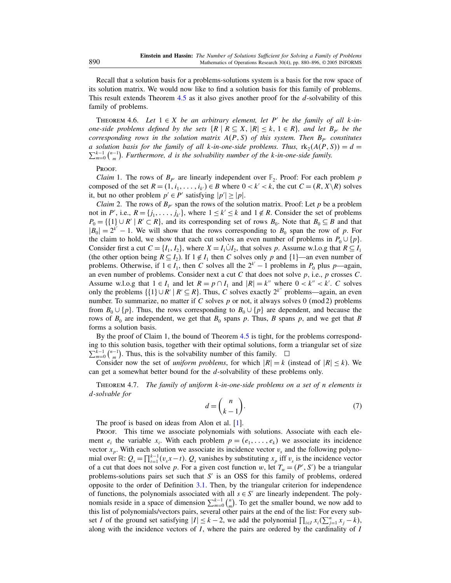<span id="page-10-0"></span>Recall that a solution basis for a problems-solutions system is a basis for the row space of its solution matrix. We would now like to find a solution basis for this family of problems. This result extends Theorem [4.5](#page-9-0) as it also gives another proof for the d-solvability of this family of problems.

THEOREM 4.6. Let  $1 \in X$  be an arbitrary element, let P' be the family of all k-inone-side problems defined by the sets  $\{R \mid R \subseteq X, |R| \leq k, 1 \in R\}$ , and let  $B_{p'}$  be the corresponding rows in the solution matrix  $A(P, S)$  of this system. Then  $B_{P'}$  constitutes a solution basis for the family of all k-in-one-side problems. Thus,  $\text{rk}_2(A)$ a solution basis for the family of all k-in-one-side problems. Thus,  $\text{rk}_2(A(P, S)) = d = \sum_{m=0}^{k-1} {n-1 \choose m}$ . Furthermore, d is the solvability number of the k-in-one-side family.

#### PROOF.

*Claim* 1. The rows of  $B_{p'}$  are linearly independent over  $\mathbb{F}_2$ . Proof: For each problem p composed of the set  $R = (1, i_1, \ldots, i_{k'}) \in B$  where  $0 < k' < k$ , the cut  $C = (R, X \setminus R)$  solves it, but no other problem  $p' \in P'$  satisfying  $|p'| \ge |p|$ .

*Claim* 2. The rows of  $B_{p'}$  span the rows of the solution matrix. Proof: Let p be a problem not in P', i.e.,  $R = \{j_1, \ldots, j_{k'}\}$ , where  $1 \le k' \le k$  and  $1 \notin R$ . Consider the set of problems  $P_0 = \{\{1\} \cup R' \mid R' \subset R\}$ , and its corresponding set of rows  $B_0$ . Note that  $B_0 \subseteq B$  and that  $|B_0| = 2^{k'} - 1$ . We will show that the rows corresponding to  $B_0$  span the row of p. For the claim to hold, we show that each cut solves an even number of problems in  $P_0 \cup \{p\}$ . Consider first a cut  $C = \{I_1, I_2\}$ , where  $X = I_1 \cup I_2$ , that solves p. Assume w.l.o.g that  $R \subseteq I_1$ (the other option being  $R \subseteq I_2$ ). If  $1 \notin I_1$  then C solves only p and  $\{1\}$ —an even number of problems. Otherwise, if  $1 \in I_1$ , then C solves all the  $2^{k'} - 1$  problems in  $P_0$  plus  $p$ —again, an even number of problems. Consider next a cut  $C$  that does not solve  $p$ , i.e.,  $p$  crosses  $C$ . Assume w.l.o.g that  $1 \in I_1$  and let  $R = p \cap I_1$  and  $|R| = k''$  where  $0 < k'' < k'$ . C solves only the problems  $\{1\} \cup R' \mid R' \subseteq R\}$ . Thus, C solves exactly  $2^{k''}$  problems—again, an even number. To summarize, no matter if C solves p or not, it always solves 0 (mod 2) problems from  $B_0 \cup \{p\}$ . Thus, the rows corresponding to  $B_0 \cup \{p\}$  are dependent, and because the rows of  $B_0$  are independent, we get that  $B_0$  spans p. Thus, B spans p, and we get that B forms a solution basis.

By the proof of Claim 1, the bound of Theorem [4.5](#page-9-0) is tight, for the problems corresponding to this solution basis, together with their optimal solutions, form a triangular set of size  $\sum_{m=0}^{k-1} {\binom{n-1}{m}}$ . Thus, this is the solvability number of this family.  $\square$ 

Consider now the set of *uniform problems*, for which  $|R| = k$  (instead of  $|R| \leq k$ ). We can get a somewhat better bound for the d-solvability of these problems only.

THEOREM 4.7. The family of uniform  $k$ -in-one-side problems on a set of n elements is d-solvable for

$$
d = \binom{n}{k-1}.\tag{7}
$$

The proof is based on ideas from Alon et al. [\[1\]](#page-16-0).

Proof. This time we associate polynomials with solutions. Associate with each element  $e_i$  the variable  $x_i$ . With each problem  $p = (e_1, \ldots, e_k)$  we associate its incidence vector  $x_p$ . With each solution we associate its incidence vector  $v_s$  and the following polynomial over  $\mathbb{R}$ :  $Q_s = \prod_{t=1}^{k-1} (v_s x - t)$ .  $Q_s$  vanishes by substituting  $x_p$  iff  $v_s$  is the incidence vector of a cut that does not solve p. For a given cost function w, let  $T_w = (P', S')$  be a triangular problems-solutions pairs set such that  $S'$  is an OSS for this family of problems, ordered opposite to the order of Definition [3.1.](#page-2-0) Then, by the triangular criterion for independence of functions, the polynomials associated with all  $s \in S'$  are linearly independent. The polynomials reside in a space of dimension  $\sum_{m=0}^{k-1} {n \choose m}$ . To get the smaller bound, we now add to this list of polynomials/vectors pairs, several other pairs at the end of the list: For every subset I of the ground set satisfying  $|I| \leq k - 2$ , we add the polynomial  $\prod_{i \in I} x_i(\sum_{j=1}^n x_j - k)$ , along with the incidence vectors of  $I$ , where the pairs are ordered by the cardinality of  $I$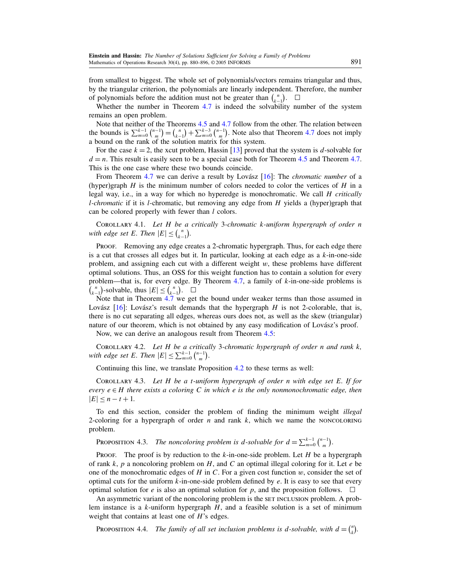from smallest to biggest. The whole set of polynomials/vectors remains triangular and thus, by the triangular criterion, the polynomials are linearly independent. Therefore, the number of polynomials before the addition must not be greater than  $\binom{n}{k-1}$ . □

Whether the number in Theorem [4.7](#page-10-0) is indeed the solvability number of the system remains an open problem.

Note that neither of the Theorems [4.5](#page-9-0) and [4.7](#page-10-0) follow from the other. The relation between the bounds is  $\sum_{m=0}^{k-1} {n-1 \choose m} = {n \choose k-1} + \sum_{m=0}^{k-3} {n-1 \choose m}$ . Note also that Theorem [4.7](#page-10-0) does not imply a bound on the rank of the solution matrix for this system.

For the case  $k = 2$ , the xcut problem, Hassin [\[13\]](#page-16-0) proved that the system is d-solvable for  $d = n$ . This result is easily seen to be a special case both for Theorem [4.5](#page-9-0) and Theorem [4.7.](#page-10-0) This is the one case where these two bounds coincide.

From Theorem [4.7](#page-10-0) we can derive a result by Lovász [\[16\]](#page-16-0): The *chromatic number* of a (hyper)graph  $H$  is the minimum number of colors needed to color the vertices of  $H$  in a legal way, i.e., in a way for which no hyperedge is monochromatic. We call  $H$  critically *l*-chromatic if it is *l*-chromatic, but removing any edge from  $H$  yields a (hyper)graph that can be colored properly with fewer than  $l$  colors.

COROLLARY 4.1. Let  $H$  be a critically 3-chromatic k-uniform hypergraph of order  $n$ with edge set E. Then  $|E| \leq {n \choose k-1}$ .

Proof. Removing any edge creates a 2-chromatic hypergraph. Thus, for each edge there is a cut that crosses all edges but it. In particular, looking at each edge as a  $k$ -in-one-side problem, and assigning each cut with a different weight  $w$ , these problems have different optimal solutions. Thus, an OSS for this weight function has to contain a solution for every problem—that is, for every edge. By Theorem [4.7,](#page-10-0) a family of  $k$ -in-one-side problems is  $\binom{n}{k-1}$ -solvable, thus  $|E| \leq \binom{n}{k-1}$ .  $\Box$ 

Note that in Theorem [4.7](#page-10-0) we get the bound under weaker terms than those assumed in Lovász  $[16]$ : Lovász's result demands that the hypergraph H is not 2-colorable, that is, there is no cut separating all edges, whereas ours does not, as well as the skew (triangular) nature of our theorem, which is not obtained by any easy modification of Lovász's proof.

Now, we can derive an analogous result from Theorem [4.5:](#page-9-0)

COROLLARY 4.2. Let H be a critically 3-chromatic hypergraph of order n and rank k, with edge set E. Then  $|E| \le \sum_{m=0}^{k-1} {n-1 \choose m}$ .

Continuing this line, we translate Proposition [4.2](#page-9-0) to these terms as well:

Corollary 4.3. Let H be a t-uniform hypergraph of order n with edge set E. If for every  $e \in H$  there exists a coloring C in which e is the only nonmonochromatic edge, then  $|E| \leq n - t + 1.$ 

To end this section, consider the problem of finding the minimum weight illegal 2-coloring for a hypergraph of order  $n$  and rank  $k$ , which we name the NONCOLORING problem.

PROPOSITION 4.3. The noncoloring problem is d-solvable for  $d = \sum_{m=0}^{k-1} {n-1 \choose m}$ .

**PROOF.** The proof is by reduction to the k-in-one-side problem. Let H be a hypergraph of rank k, p a noncoloring problem on H, and C an optimal illegal coloring for it. Let  $e$  be one of the monochromatic edges of H in C. For a given cost function  $w$ , consider the set of optimal cuts for the uniform  $k$ -in-one-side problem defined by  $e$ . It is easy to see that every optimal solution for *e* is also an optimal solution for *p*, and the proposition follows.  $\Box$ 

An asymmetric variant of the noncoloring problem is the set INCLUSION problem. A problem instance is a  $k$ -uniform hypergraph  $H$ , and a feasible solution is a set of minimum weight that contains at least one of  $H$ 's edges.

PROPOSITION 4.4. The family of all set inclusion problems is d-solvable, with  $d = {n \choose k}$ .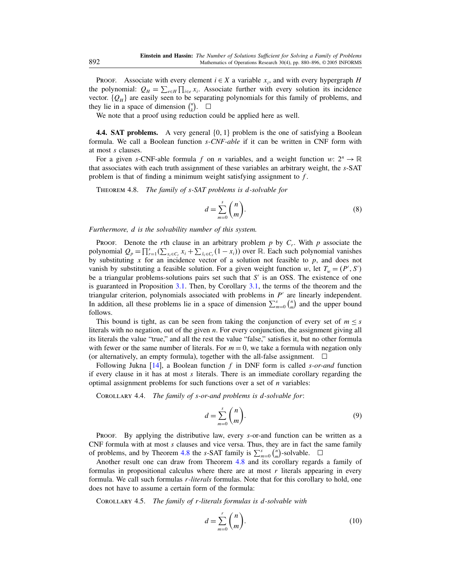<span id="page-12-0"></span>Proof. Associate with every element  $i \in X$  a variable  $x_i$ , and with every hypergraph H the polynomial:  $Q_H = \sum_{e \in H} \prod_{i \in e} x_i$ . Associate further with every solution its incidence vector.  ${Q<sub>H</sub>}$  are easily seen to be separating polynomials for this family of problems, and they lie in a space of dimension  $\binom{n}{k}$ .  $\Box$ 

We note that a proof using reduction could be applied here as well.

**4.4. SAT problems.** A very general  $\{0, 1\}$  problem is the one of satisfying a Boolean formula. We call a Boolean function s-CNF-able if it can be written in CNF form with at most s clauses.

For a given s-CNF-able formula f on n variables, and a weight function w:  $2^n \rightarrow \mathbb{R}$ that associates with each truth assignment of these variables an arbitrary weight, the s-SAT problem is that of finding a minimum weight satisfying assignment to f .

Theorem 4.8. The family of s-SAT problems is d-solvable for

$$
d = \sum_{m=0}^{s} \binom{n}{m}.
$$
\n(8)

Furthermore, d is the solvability number of this system.

PROOF. Denote the rth clause in an arbitrary problem  $p$  by  $C_r$ . With  $p$  associate the polynomial  $Q_p = \prod_{i=1}^s (\sum_{x_i \in C_r} x_i + \sum_{\bar{x}_i \in C_r} (1 - x_i))$  over  $\mathbb R$ . Each such polynomial vanishes by substituting x for an incidence vector of a solution not feasible to  $p$ , and does not vanish by substituting a feasible solution. For a given weight function w, let  $T_w = (P', S')$ be a triangular problems-solutions pairs set such that  $S'$  is an OSS. The existence of one is guaranteed in Proposition [3.1.](#page-2-0) Then, by Corollary [3.1,](#page-3-0) the terms of the theorem and the triangular criterion, polynomials associated with problems in P are linearly independent. In addition, all these problems lie in a space of dimension  $\sum_{m=0}^{s} {n \choose m}$  and the upper bound follows.

This bound is tight, as can be seen from taking the conjunction of every set of  $m \leq s$ literals with no negation, out of the given *n*. For every conjunction, the assignment giving all its literals the value "true," and all the rest the value "false," satisfies it, but no other formula with fewer or the same number of literals. For  $m = 0$ , we take a formula with negation only (or alternatively, an empty formula), together with the all-false assignment.  $\Box$ 

Following Jukna  $[14]$ , a Boolean function f in DNF form is called s-or-and function if every clause in it has at most  $s$  literals. There is an immediate corollary regarding the optimal assignment problems for such functions over a set of  $n$  variables:

COROLLARY 4.4. The family of s-or-and problems is d-solvable for:

$$
d = \sum_{m=0}^{s} \binom{n}{m}.
$$
\n(9)

Proof. By applying the distributive law, every s-or-and function can be written as a  $CNF$  formula with at most  $s$  clauses and vice versa. Thus, they are in fact the same family of problems, and by Theorem 4.8 the s-SAT family is  $\sum_{m=0}^{s} {n \choose m}$ -solvable.  $\Box$ 

Another result one can draw from Theorem 4.8 and its corollary regards a family of formulas in propositional calculus where there are at most  $r$  literals appearing in every formula. We call such formulas r-literals formulas. Note that for this corollary to hold, one does not have to assume a certain form of the formula:

COROLLARY 4.5. The family of r-literals formulas is d-solvable with

$$
d = \sum_{m=0}^{r} \binom{n}{m}.
$$
\n(10)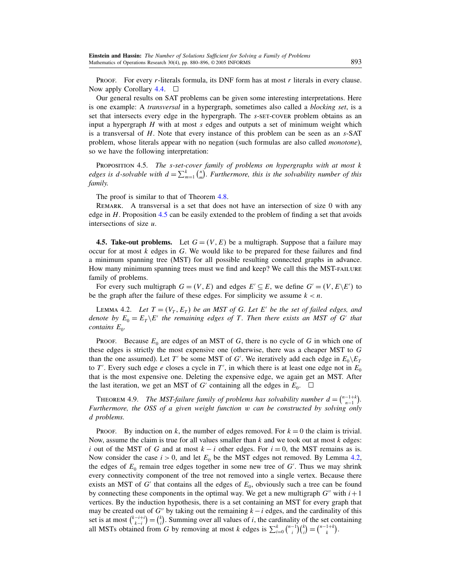<span id="page-13-0"></span>**PROOF.** For every *r*-literals formula, its DNF form has at most *r* literals in every clause. Now apply Corollary [4.4.](#page-12-0)  $\Box$ 

Our general results on SAT problems can be given some interesting interpretations. Here is one example: A transversal in a hypergraph, sometimes also called a blocking set, is a set that intersects every edge in the hypergraph. The s-set-cover problem obtains as an input a hypergraph  $H$  with at most  $s$  edges and outputs a set of minimum weight which is a transversal of H. Note that every instance of this problem can be seen as an s-SAT problem, whose literals appear with no negation (such formulas are also called monotone), so we have the following interpretation:

PROPOSITION 4.5. The s-set-cover family of problems on hypergraphs with at most k edges is d-solvable with  $d = \sum_{m=1}^{k} {n \choose m}$ . Furthermore, this is the solvability number of this family.

The proof is similar to that of Theorem [4.8.](#page-12-0)

Remark. A transversal is a set that does not have an intersection of size 0 with any edge in H. Proposition 4.5 can be easily extended to the problem of finding a set that avoids intersections of size  $u$ .

**4.5. Take-out problems.** Let  $G = (V, E)$  be a multigraph. Suppose that a failure may occur for at most  $k$  edges in  $G$ . We would like to be prepared for these failures and find a minimum spanning tree (MST) for all possible resulting connected graphs in advance. How many minimum spanning trees must we find and keep? We call this the MST-failure family of problems.

For every such multigraph  $G = (V, E)$  and edges  $E' \subseteq E$ , we define  $G' = (V, E \backslash E')$  to be the graph after the failure of these edges. For simplicity we assume  $k < n$ .

LEMMA 4.2. Let  $T = (V_T, E_T)$  be an MST of G. Let E' be the set of failed edges, and denote by  $E_0 = E_T \backslash E'$  the remaining edges of T. Then there exists an MST of G' that contains  $E_0$ .

**PROOF.** Because  $E_0$  are edges of an MST of G, there is no cycle of G in which one of these edges is strictly the most expensive one (otherwise, there was a cheaper MST to G than the one assumed). Let T' be some MST of G'. We iteratively add each edge in  $E_0 \backslash E_7$ to T'. Every such edge e closes a cycle in T', in which there is at least one edge not in  $E_0$ that is the most expensive one. Deleting the expensive edge, we again get an MST. After the last iteration, we get an MST of G' containing all the edges in  $E_0$ .  $\Box$ 

THEOREM 4.9. The MST-failure family of problems has solvability number  $d = \binom{n-1+k}{n-1}$ . Furthermore, the OSS of a given weight function w can be constructed by solving only d problems.

PROOF. By induction on k, the number of edges removed. For  $k = 0$  the claim is trivial. Now, assume the claim is true for all values smaller than  $k$  and we took out at most  $k$  edges: i out of the MST of G and at most  $k - i$  other edges. For  $i = 0$ , the MST remains as is. Now consider the case  $i > 0$ , and let  $E_0$  be the MST edges not removed. By Lemma 4.2, the edges of  $E_0$  remain tree edges together in some new tree of  $G'$ . Thus we may shrink every connectivity component of the tree not removed into a single vertex. Because there exists an MST of  $G'$  that contains all the edges of  $E_0$ , obviously such a tree can be found by connecting these components in the optimal way. We get a new multigraph  $G''$  with  $i+1$ vertices. By the induction hypothesis, there is a set containing an MST for every graph that may be created out of G'' by taking out the remaining  $k-i$  edges, and the cardinality of this set is at most  $\binom{k-i+j}{k-i} = \binom{k}{i}$ . Summing over all values of *i*, the cardinality of the set containing all MSTs obtained from G by removing at most k edges is  $\sum_{i=0}^{k} {n-1 \choose i} {k \choose i} = {n-1+k \choose k}$ .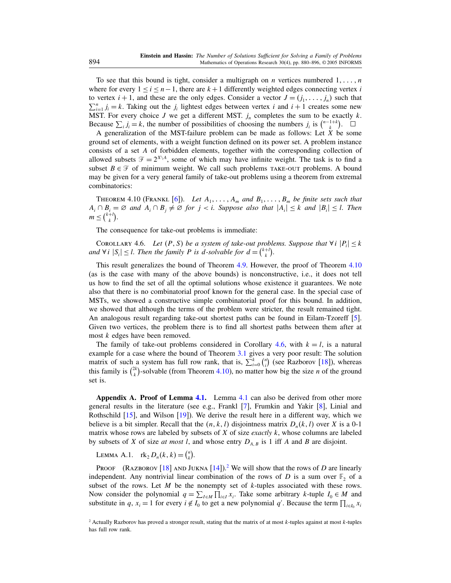<span id="page-14-0"></span>To see that this bound is tight, consider a multigraph on *n* vertices numbered  $1, \ldots, n$ where for every  $1 \le i \le n-1$ , there are  $k+1$  differently weighted edges connecting vertex i to vertex  $i + 1$ , and these are the only edges. Consider a vector  $J = (j_1, \ldots, j_n)$  such that  $\sum_{i=1}^{n} j_i = k$ . Taking out the  $j_i$  lightest edges between vertex i and  $i + 1$  creates some new MST. For every choice J we get a different MST.  $j_n$  completes the sum to be exactly k. Because  $\sum_i j_i = k$ , the number of possibilities of choosing the numbers  $j_i$  is  $\binom{n-1+k}{k}$ .  $\Box$ 

A generalization of the MST-failure problem can be made as follows: Let  $X$  be some ground set of elements, with a weight function defined on its power set. A problem instance consists of a set A of forbidden elements, together with the corresponding collection of allowed subsets  $\mathcal{F} = 2^{X\setminus A}$ , some of which may have infinite weight. The task is to find a subset  $B \in \mathcal{F}$  of minimum weight. We call such problems TAKE-OUT problems. A bound may be given for a very general family of take-out problems using a theorem from extremal combinatorics:

THEOREM 4.10 (FRANKL [\[6\]](#page-16-0)). Let  $A_1, \ldots, A_m$  and  $B_1, \ldots, B_m$  be finite sets such that  $A_i \cap B_i = \emptyset$  and  $A_i \cap B_j \neq \emptyset$  for  $j < i$ . Suppose also that  $|A_i| \leq k$  and  $|B_i| \leq l$ . Then  $m \leq {k+l \choose k}.$ 

The consequence for take-out problems is immediate:

COROLLARY 4.6. Let  $(P, S)$  be a system of take-out problems. Suppose that  $\forall i |P_i| \leq k$ and  $\forall i \ |S_i| \leq l$ . Then the family P is d-solvable for  $d = \binom{k+l}{k}$ .

This result generalizes the bound of Theorem [4.9.](#page-13-0) However, the proof of Theorem 4.10 (as is the case with many of the above bounds) is nonconstructive, i.e., it does not tell us how to find the set of all the optimal solutions whose existence it guarantees. We note also that there is no combinatorial proof known for the general case. In the special case of MSTs, we showed a constructive simple combinatorial proof for this bound. In addition, we showed that although the terms of the problem were stricter, the result remained tight. An analogous result regarding take-out shortest paths can be found in Eilam-Tzoreff [\[5\]](#page-16-0). Given two vertices, the problem there is to find all shortest paths between them after at most k edges have been removed.

The family of take-out problems considered in Corollary 4.6, with  $k = l$ , is a natural example for a case where the bound of Theorem [3.1](#page-4-0) gives a very poor result: The solution matrix of such a system has full row rank, that is,  $\sum_{i=0}^{k} {n \choose i}$  (see Razborov [\[18\]](#page-16-0)), whereas this family is  $\binom{2k}{k}$ -solvable (from Theorem 4.10), no matter how big the size *n* of the ground set is.

Appendix A. Proof of Lemma [4.1.](#page-7-0) Lemma [4.1](#page-7-0) can also be derived from other more general results in the literature (see e.g., Frankl [\[7\]](#page-16-0), Frumkin and Yakir [\[8\]](#page-16-0), Linial and Rothschild [\[15\]](#page-16-0), and Wilson [\[19\]](#page-16-0)). We derive the result here in a different way, which we believe is a bit simpler. Recall that the  $(n, k, l)$  disjointness matrix  $D_n(k, l)$  over X is a 0-1 matrix whose rows are labeled by subsets of  $X$  of size *exactly k*, whose columns are labeled by subsets of X of size at most l, and whose entry  $D_{A,B}$  is 1 iff A and B are disjoint.

LEMMA A.1.  $\text{rk}_2 D_n(k, k) = {n \choose k}$ .

PROOF (RAZBOROV [\[18\]](#page-16-0) AND JUKNA [\[14\]](#page-16-0)).<sup>2</sup> We will show that the rows of D are linearly independent. Any nontrivial linear combination of the rows of D is a sum over  $\mathbb{F}_2$  of a subset of the rows. Let  $M$  be the nonempty set of  $k$ -tuples associated with these rows. Now consider the polynomial  $q = \sum_{I \in M} \prod_{i \in I} x_i$ . Take some arbitrary k-tuple  $I_0 \in M$  and substitute in q,  $x_i = 1$  for every  $i \notin I_0$  to get a new polynomial q'. Because the term  $\prod_{i \in I_0} x_i$ 

<sup>&</sup>lt;sup>2</sup> Actually Razborov has proved a stronger result, stating that the matrix of at most  $k$ -tuples against at most  $k$ -tuples has full row rank.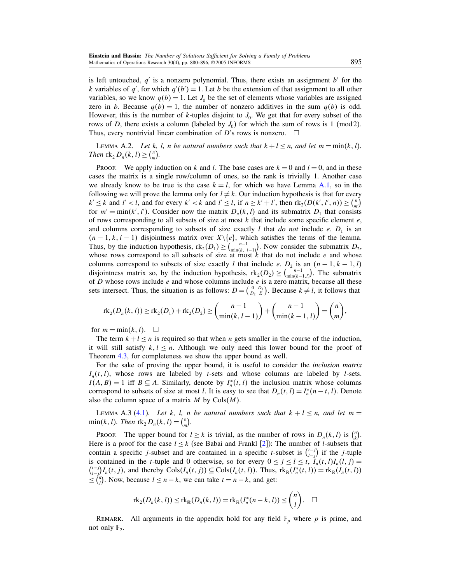is left untouched,  $q'$  is a nonzero polynomial. Thus, there exists an assignment  $b'$  for the k variables of q', for which  $q'(b') = 1$ . Let b be the extension of that assignment to all other variables, so we know  $q(b) = 1$ . Let  $J_0$  be the set of elements whose variables are assigned zero in *b*. Because  $q(b) = 1$ , the number of nonzero additives in the sum  $q(b)$  is odd. However, this is the number of k-tuples disjoint to  $J_0$ . We get that for every subset of the rows of D, there exists a column (labeled by  $J_0$ ) for which the sum of rows is 1 (mod 2). Thus, every nontrivial linear combination of D's rows is nonzero.  $\Box$ 

LEMMA A.2. Let k, l, n be natural numbers such that  $k + l \leq n$ , and let  $m = \min(k, l)$ . Then  $\text{rk}_2 D_n(k, l) \geq {n \choose m}$ .

PROOF. We apply induction on k and l. The base cases are  $k = 0$  and  $l = 0$ , and in these cases the matrix is a single row/column of ones, so the rank is trivially 1. Another case we already know to be true is the case  $k = l$ , for which we have Lemma [A.1,](#page-14-0) so in the following we will prove the lemma only for  $l \neq k$ . Our induction hypothesis is that for every  $k' \le k$  and  $l' < l$ , and for every  $k' < k$  and  $l' \le l$ , if  $n \ge k' + l'$ , then  $rk_2(D(k', l', n)) \ge \binom{n}{m'}$ for  $m' = min(k', l')$ . Consider now the matrix  $D_n(k, l)$  and its submatrix  $D_1$  that consists of rows corresponding to all subsets of size at most  $k$  that include some specific element  $e$ , and columns corresponding to subsets of size exactly l that do not include e.  $D_1$  is an  $(n-1, k, l-1)$  disjointness matrix over  $X\setminus\{e\}$ , which satisfies the terms of the lemma. Thus, by the induction hypothesis,  $\text{rk}_2(D_1) \geq {n-1 \choose \min(k, l-1)}$ . Now consider the submatrix  $D_2$ , whose rows correspond to all subsets of size at most  $k$  that do not include  $e$  and whose columns correspond to subsets of size exactly l that include e.  $D_2$  is an  $(n-1, k-1, l)$ disjointness matrix so, by the induction hypothesis,  $\text{rk}_2(D_2) \geq {n-1 \choose \min(k-1,l)}$ . The submatrix of D whose rows include  $e$  and whose columns include  $e$  is a zero matrix, because all these sets intersect. Thus, the situation is as follows:  $D = \begin{pmatrix} 0 & D_1 \\ D_2 & E \end{pmatrix}$ . Because  $k \neq l$ , it follows that

$$
rk_2(D_n(k,l)) \geq rk_2(D_1) + rk_2(D_2) \geq {n-1 \choose \min(k, l-1)} + {n-1 \choose \min(k-1, l)} = {n \choose m},
$$

for  $m = \min(k, l)$ .  $\Box$ 

The term  $k+l \leq n$  is required so that when *n* gets smaller in the course of the induction, it will still satisfy  $k, l \leq n$ . Although we only need this lower bound for the proof of Theorem [4.3,](#page-7-0) for completeness we show the upper bound as well.

For the sake of proving the upper bound, it is useful to consider the inclusion matrix  $I_n(t, l)$ , whose rows are labeled by t-sets and whose columns are labeled by l-sets.  $I(A, B) = 1$  iff  $B \subseteq A$ . Similarly, denote by  $I_n^*(t, l)$  the inclusion matrix whose columns correspond to subsets of size at most *l*. It is easy to see that  $D_n(t, l) = I_n^*(n - t, l)$ . Denote also the column space of a matrix  $M$  by  $Cols(M)$ .

LEMMA A.3 [\(4.1\)](#page-7-0). Let k, l, n be natural numbers such that  $k + l \le n$ , and let  $m =$  $\min(k, l)$ . Then  $\text{rk}_2 D_n(k, l) = {n \choose m}$ .

PROOF. The upper bound for  $l \geq k$  is trivial, as the number of rows in  $D_n(k, l)$  is  $\binom{n}{k}$ . Here is a proof for the case  $l \leq k$  (see Babai and Frankl [\[2\]](#page-16-0)): The number of *l*-subsets that contain a specific j-subset and are contained in a specific t-subset is  $\binom{t-j}{t-j}$  if the j-tuple is contained in the t-tuple and 0 otherwise, so for every  $0 \le j \le l \le t$ ,  $I_n(t, l)I_n(l, j) =$ <br> $\binom{l-j}{l}I(t, i)$  and thereby  $Cols(I(t, i)) \subset Cols(I(t, l))$  Thus  $\text{rk}_n(I^*(t, l)) = \text{rk}_n(I(t, l))$ is contained in the *t*-tuple and 0 otherwise, so for every  $0 \le j \le l \le t$ ,  $I_n(t, l)I_n(l, j) =$ <br> $\binom{t-j}{l-j}I_n(t, j)$ , and thereby  $\text{Cols}(I_n(t, j)) \subseteq \text{Cols}(I_n(t, l))$ . Thus,  $\text{rk}_{\mathbb{R}}(I_n^*(t, l)) = \text{rk}_{\mathbb{R}}(I_n(t, l))$  $\leq {n \choose l}$ . Now, because  $l \leq n-k$ , we can take  $t = n - k$ , and get:

$$
\mathrm{rk}_2(D_n(k,l)) \leq \mathrm{rk}_{\mathbb{R}}(D_n(k,l)) = \mathrm{rk}_{\mathbb{R}}(I_n^*(n-k,l)) \leq \binom{n}{l}.\quad \Box
$$

REMARK. All arguments in the appendix hold for any field  $\mathbb{F}_p$  where p is prime, and not only  $\mathbb{F}_2$ .